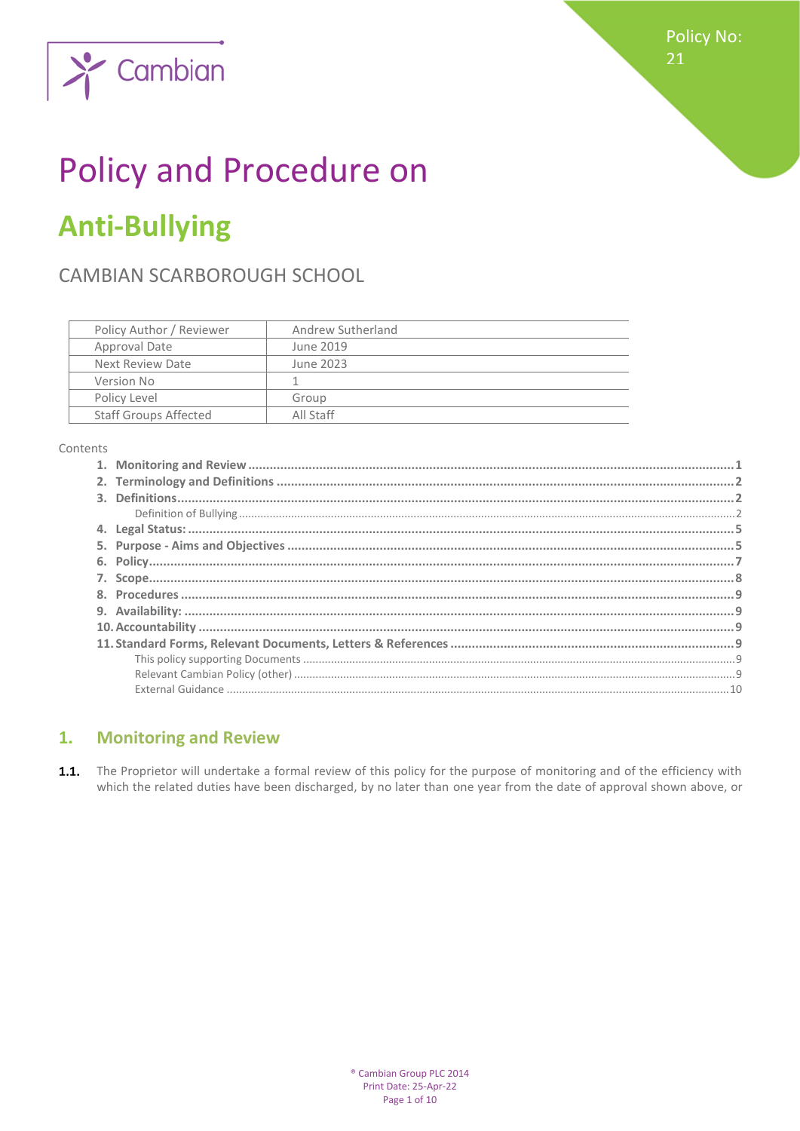

# **Policy and Procedure on Anti-Bullying**

# CAMBIAN SCARBOROUGH SCHOOL

 $\sim$  Cambian

| Policy Author / Reviewer     | Andrew Sutherland |
|------------------------------|-------------------|
| Approval Date                | June 2019         |
| Next Review Date             | June 2023         |
| Version No                   |                   |
| Policy Level                 | Group             |
| <b>Staff Groups Affected</b> | All Staff         |

Contents

#### <span id="page-0-0"></span>**Monitoring and Review**  $1.$

 $1.1.$ The Proprietor will undertake a formal review of this policy for the purpose of monitoring and of the efficiency with which the related duties have been discharged, by no later than one year from the date of approval shown above, or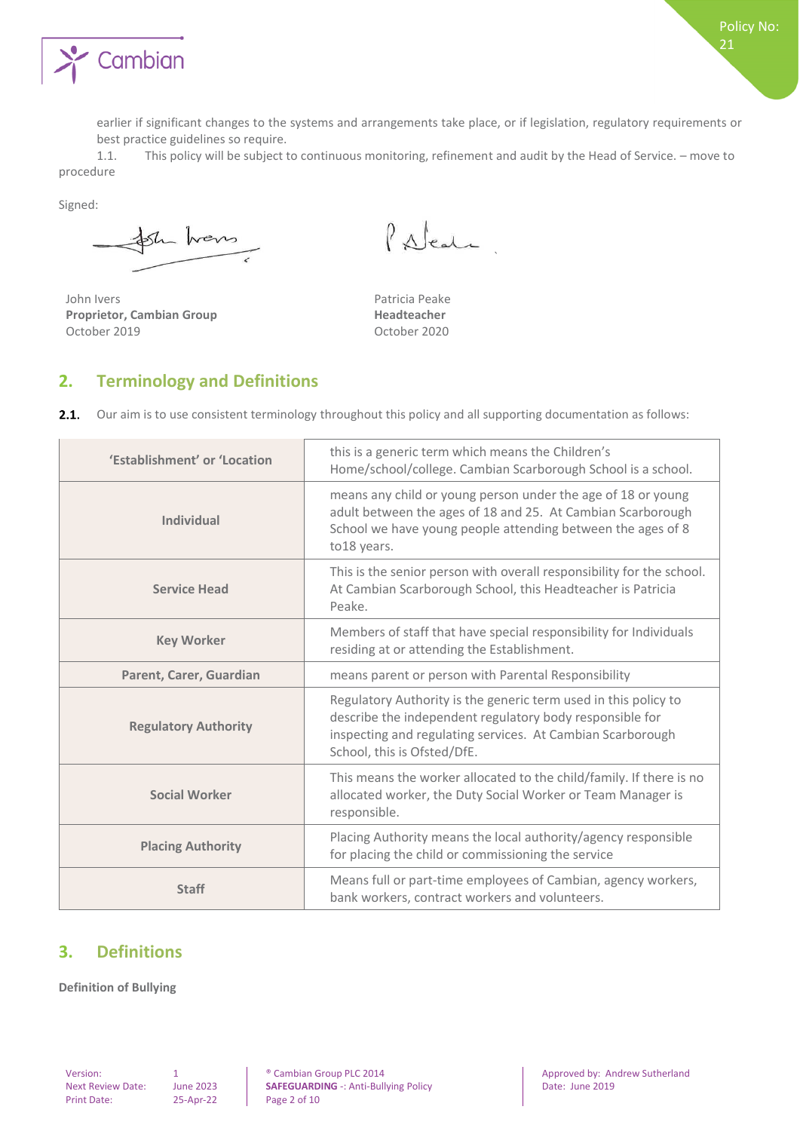

earlier if significant changes to the systems and arrangements take place, or if legislation, regulatory requirements or best practice guidelines so require.

1.1. This policy will be subject to continuous monitoring, refinement and audit by the Head of Service. – move to procedure

Signed:

Sh hans

John Ivers **Patricia Peake Proprietor, Cambian Group Headteacher** October 2019 October 2020

Palent

`

#### <span id="page-1-0"></span>**2. Terminology and Definitions**

 $2.1.$ Our aim is to use consistent terminology throughout this policy and all supporting documentation as follows:

| 'Establishment' or 'Location | this is a generic term which means the Children's<br>Home/school/college. Cambian Scarborough School is a school.                                                                                                        |
|------------------------------|--------------------------------------------------------------------------------------------------------------------------------------------------------------------------------------------------------------------------|
| <b>Individual</b>            | means any child or young person under the age of 18 or young<br>adult between the ages of 18 and 25. At Cambian Scarborough<br>School we have young people attending between the ages of 8<br>to18 years.                |
| <b>Service Head</b>          | This is the senior person with overall responsibility for the school.<br>At Cambian Scarborough School, this Headteacher is Patricia<br>Peake.                                                                           |
| <b>Key Worker</b>            | Members of staff that have special responsibility for Individuals<br>residing at or attending the Establishment.                                                                                                         |
| Parent, Carer, Guardian      | means parent or person with Parental Responsibility                                                                                                                                                                      |
| <b>Regulatory Authority</b>  | Regulatory Authority is the generic term used in this policy to<br>describe the independent regulatory body responsible for<br>inspecting and regulating services. At Cambian Scarborough<br>School, this is Ofsted/DfE. |
| <b>Social Worker</b>         | This means the worker allocated to the child/family. If there is no<br>allocated worker, the Duty Social Worker or Team Manager is<br>responsible.                                                                       |
| <b>Placing Authority</b>     | Placing Authority means the local authority/agency responsible<br>for placing the child or commissioning the service                                                                                                     |
| <b>Staff</b>                 | Means full or part-time employees of Cambian, agency workers,<br>bank workers, contract workers and volunteers.                                                                                                          |

#### <span id="page-1-1"></span>**3. Definitions**

<span id="page-1-2"></span>**Definition of Bullying** 

Print Date: 25-Apr-22 Page 2 of 10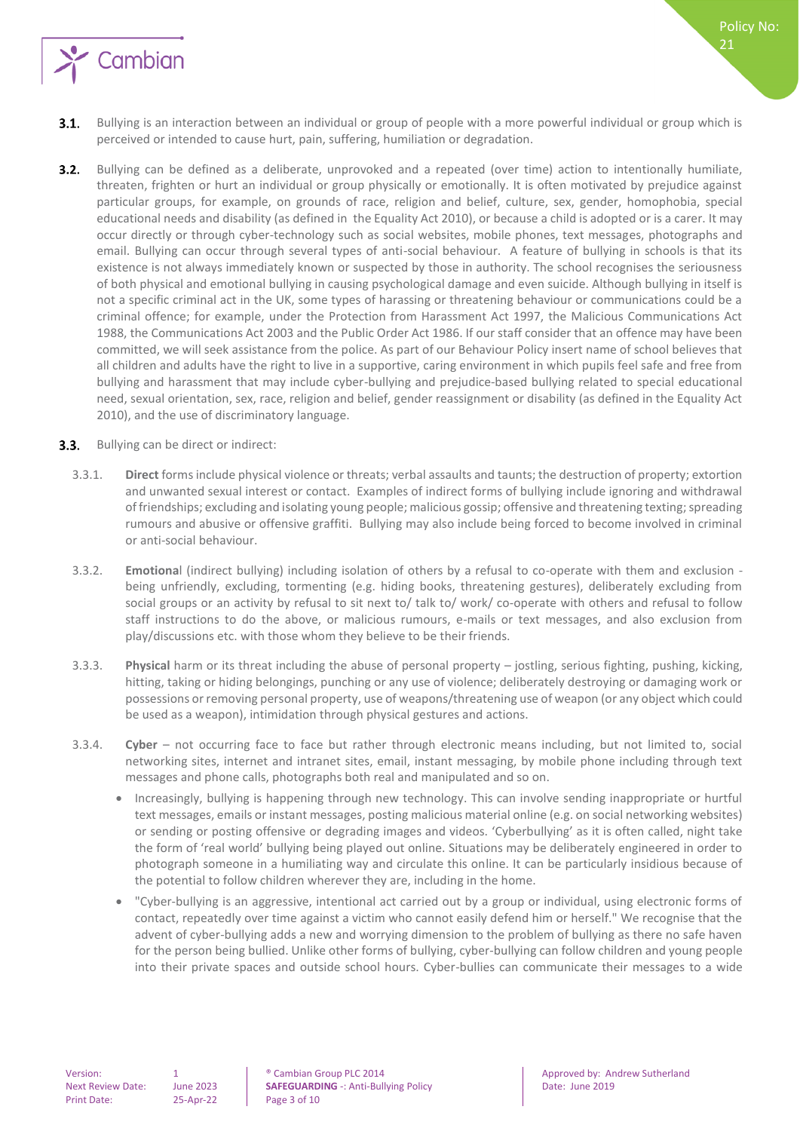

- Bullying is an interaction between an individual or group of people with a more powerful individual or group which is  $3.1.$ perceived or intended to cause hurt, pain, suffering, humiliation or degradation.
- $3.2.$ Bullying can be defined as a deliberate, unprovoked and a repeated (over time) action to intentionally humiliate, threaten, frighten or hurt an individual or group physically or emotionally. It is often motivated by prejudice against particular groups, for example, on grounds of race, religion and belief, culture, sex, gender, homophobia, special educational needs and disability (as defined in the Equality Act 2010), or because a child is adopted or is a carer. It may occur directly or through cyber-technology such as social websites, mobile phones, text messages, photographs and email. Bullying can occur through several types of anti-social behaviour. A feature of bullying in schools is that its existence is not always immediately known or suspected by those in authority. The school recognises the seriousness of both physical and emotional bullying in causing psychological damage and even suicide. Although bullying in itself is not a specific criminal act in the UK, some types of harassing or threatening behaviour or communications could be a criminal offence; for example, under the Protection from Harassment Act 1997, the Malicious Communications Act 1988, the Communications Act 2003 and the Public Order Act 1986. If our staff consider that an offence may have been committed, we will seek assistance from the police. As part of our Behaviour Policy insert name of school believes that all children and adults have the right to live in a supportive, caring environment in which pupils feel safe and free from bullying and harassment that may include cyber-bullying and prejudice-based bullying related to special educational need, sexual orientation, sex, race, religion and belief, gender reassignment or disability (as defined in the Equality Act 2010), and the use of discriminatory language.
- **3.3.** Bullying can be direct or indirect:
	- 3.3.1. **Direct** forms include physical violence or threats; verbal assaults and taunts; the destruction of property; extortion and unwanted sexual interest or contact. Examples of indirect forms of bullying include ignoring and withdrawal of friendships; excluding and isolating young people; malicious gossip; offensive and threatening texting; spreading rumours and abusive or offensive graffiti. Bullying may also include being forced to become involved in criminal or anti-social behaviour.
	- 3.3.2. **Emotiona**l (indirect bullying) including isolation of others by a refusal to co-operate with them and exclusion being unfriendly, excluding, tormenting (e.g. hiding books, threatening gestures), deliberately excluding from social groups or an activity by refusal to sit next to/ talk to/ work/ co-operate with others and refusal to follow staff instructions to do the above, or malicious rumours, e-mails or text messages, and also exclusion from play/discussions etc. with those whom they believe to be their friends.
	- 3.3.3. **Physical** harm or its threat including the abuse of personal property jostling, serious fighting, pushing, kicking, hitting, taking or hiding belongings, punching or any use of violence; deliberately destroying or damaging work or possessions or removing personal property, use of weapons/threatening use of weapon (or any object which could be used as a weapon), intimidation through physical gestures and actions.
	- 3.3.4. **Cyber** not occurring face to face but rather through electronic means including, but not limited to, social networking sites, internet and intranet sites, email, instant messaging, by mobile phone including through text messages and phone calls, photographs both real and manipulated and so on.
		- Increasingly, bullying is happening through new technology. This can involve sending inappropriate or hurtful text messages, emails or instant messages, posting malicious material online (e.g. on social networking websites) or sending or posting offensive or degrading images and videos. 'Cyberbullying' as it is often called, night take the form of 'real world' bullying being played out online. Situations may be deliberately engineered in order to photograph someone in a humiliating way and circulate this online. It can be particularly insidious because of the potential to follow children wherever they are, including in the home.
		- "Cyber-bullying is an aggressive, intentional act carried out by a group or individual, using electronic forms of contact, repeatedly over time against a victim who cannot easily defend him or herself." We recognise that the advent of cyber-bullying adds a new and worrying dimension to the problem of bullying as there no safe haven for the person being bullied. Unlike other forms of bullying, cyber-bullying can follow children and young people into their private spaces and outside school hours. Cyber-bullies can communicate their messages to a wide

Version: 1 1 **Cambian Group PLC 2014** Approved by: Andrew Sutherland Approved by: Andrew Sutherland Next Review Date: June 2023 **SAFEGUARDING** -: Anti-Bullying Policy **Date: June 2019**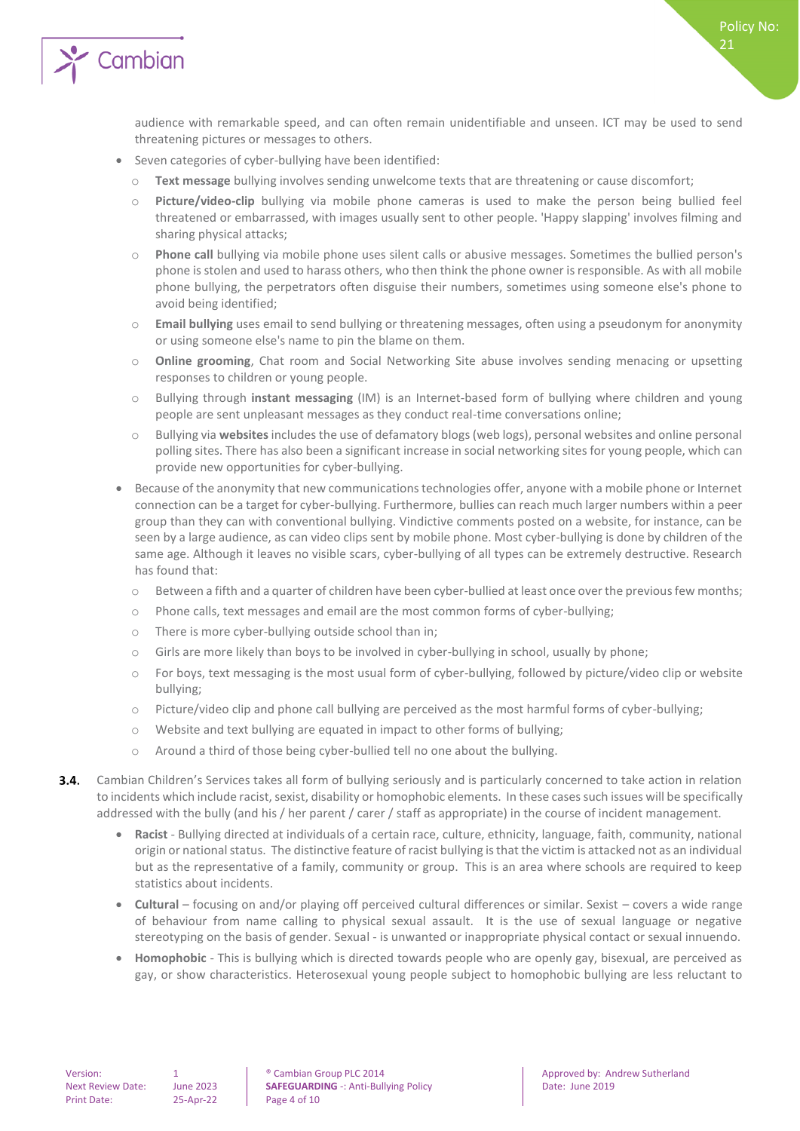

audience with remarkable speed, and can often remain unidentifiable and unseen. ICT may be used to send threatening pictures or messages to others.

Policy No:

21

- Seven categories of cyber-bullying have been identified:
	- o **Text message** bullying involves sending unwelcome texts that are threatening or cause discomfort;
	- o **Picture/video-clip** bullying via mobile phone cameras is used to make the person being bullied feel threatened or embarrassed, with images usually sent to other people. 'Happy slapping' involves filming and sharing physical attacks;
	- o **Phone call** bullying via mobile phone uses silent calls or abusive messages. Sometimes the bullied person's phone is stolen and used to harass others, who then think the phone owner is responsible. As with all mobile phone bullying, the perpetrators often disguise their numbers, sometimes using someone else's phone to avoid being identified;
	- o **Email bullying** uses email to send bullying or threatening messages, often using a pseudonym for anonymity or using someone else's name to pin the blame on them.
	- o **Online grooming**, Chat room and Social Networking Site abuse involves sending menacing or upsetting responses to children or young people.
	- o Bullying through **instant messaging** (IM) is an Internet-based form of bullying where children and young people are sent unpleasant messages as they conduct real-time conversations online;
	- o Bullying via **websites**includes the use of defamatory blogs (web logs), personal websites and online personal polling sites. There has also been a significant increase in social networking sites for young people, which can provide new opportunities for cyber-bullying.
- Because of the anonymity that new communications technologies offer, anyone with a mobile phone or Internet connection can be a target for cyber-bullying. Furthermore, bullies can reach much larger numbers within a peer group than they can with conventional bullying. Vindictive comments posted on a website, for instance, can be seen by a large audience, as can video clips sent by mobile phone. Most cyber-bullying is done by children of the same age. Although it leaves no visible scars, cyber-bullying of all types can be extremely destructive. Research has found that:
	- o Between a fifth and a quarter of children have been cyber-bullied at least once over the previous few months;
	- o Phone calls, text messages and email are the most common forms of cyber-bullying;
	- o There is more cyber-bullying outside school than in;
	- o Girls are more likely than boys to be involved in cyber-bullying in school, usually by phone;
	- o For boys, text messaging is the most usual form of cyber-bullying, followed by picture/video clip or website bullying;
	- o Picture/video clip and phone call bullying are perceived as the most harmful forms of cyber-bullying;
	- o Website and text bullying are equated in impact to other forms of bullying;
	- o Around a third of those being cyber-bullied tell no one about the bullying.
- $3.4.$ Cambian Children's Services takes all form of bullying seriously and is particularly concerned to take action in relation to incidents which include racist, sexist, disability or homophobic elements. In these cases such issues will be specifically addressed with the bully (and his / her parent / carer / staff as appropriate) in the course of incident management.
	- **Racist**  Bullying directed at individuals of a certain race, culture, ethnicity, language, faith, community, national origin or national status. The distinctive feature of racist bullying is that the victim is attacked not as an individual but as the representative of a family, community or group. This is an area where schools are required to keep statistics about incidents.
	- **Cultural** focusing on and/or playing off perceived cultural differences or similar. Sexist covers a wide range of behaviour from name calling to physical sexual assault. It is the use of sexual language or negative stereotyping on the basis of gender. Sexual - is unwanted or inappropriate physical contact or sexual innuendo.
	- **Homophobic** This is bullying which is directed towards people who are openly gay, bisexual, are perceived as gay, or show characteristics. Heterosexual young people subject to homophobic bullying are less reluctant to

Version: 1 1 **Cambian Group PLC 2014** Approved by: Andrew Sutherland Approved by: Andrew Sutherland Next Review Date: June 2023 **SAFEGUARDING** -: Anti-Bullying Policy **Date: June 2019**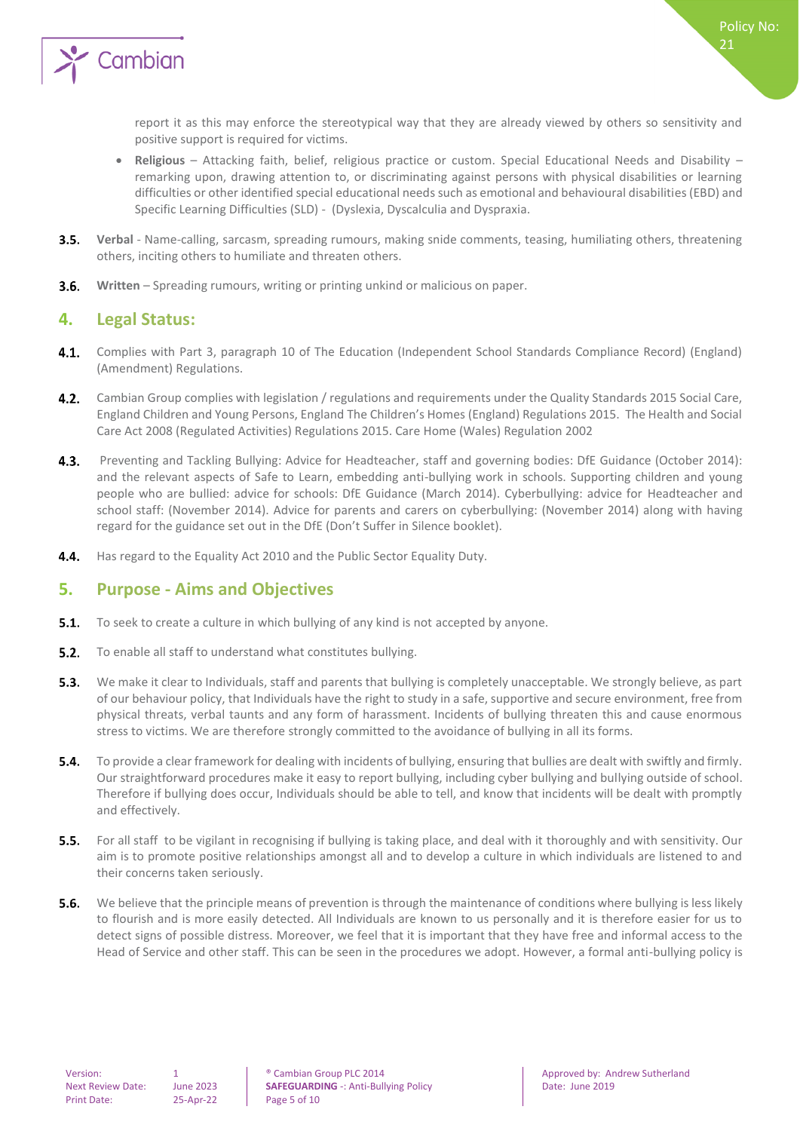

report it as this may enforce the stereotypical way that they are already viewed by others so sensitivity and positive support is required for victims.

- **Religious** Attacking faith, belief, religious practice or custom. Special Educational Needs and Disability remarking upon, drawing attention to, or discriminating against persons with physical disabilities or learning difficulties or other identified special educational needs such as emotional and behavioural disabilities (EBD) and Specific Learning Difficulties (SLD) - (Dyslexia, Dyscalculia and Dyspraxia.
- $3.5.$ **Verbal** - Name-calling, sarcasm, spreading rumours, making snide comments, teasing, humiliating others, threatening others, inciting others to humiliate and threaten others.
- <span id="page-4-0"></span> $3.6.$ **Written** – Spreading rumours, writing or printing unkind or malicious on paper.

#### **4. Legal Status:**

- 4.1. Complies with Part 3, paragraph 10 of The Education (Independent School Standards Compliance Record) (England) (Amendment) Regulations.
- 4.2. Cambian Group complies with legislation / regulations and requirements under the Quality Standards 2015 Social Care, England Children and Young Persons, England The Children's Homes (England) Regulations 2015. The Health and Social Care Act 2008 (Regulated Activities) Regulations 2015. Care Home (Wales) Regulation 2002
- $4.3.$ Preventing and Tackling Bullying: Advice for Headteacher, staff and governing bodies: DfE Guidance (October 2014): and the relevant aspects of Safe to Learn, embedding anti-bullying work in schools. Supporting children and young people who are bullied: advice for schools: DfE Guidance (March 2014). Cyberbullying: advice for Headteacher and school staff: (November 2014). Advice for parents and carers on cyberbullying: (November 2014) along with having regard for the guidance set out in the DfE (Don't Suffer in Silence booklet).
- <span id="page-4-1"></span> $4.4.$ Has regard to the Equality Act 2010 and the Public Sector Equality Duty.

## **5. Purpose - Aims and Objectives**

- $5.1.$ To seek to create a culture in which bullying of any kind is not accepted by anyone.
- $5.2.$ To enable all staff to understand what constitutes bullying.
- $5.3.$ We make it clear to Individuals, staff and parents that bullying is completely unacceptable. We strongly believe, as part of our behaviour policy, that Individuals have the right to study in a safe, supportive and secure environment, free from physical threats, verbal taunts and any form of harassment. Incidents of bullying threaten this and cause enormous stress to victims. We are therefore strongly committed to the avoidance of bullying in all its forms.
- **5.4.** To provide a clear framework for dealing with incidents of bullying, ensuring that bullies are dealt with swiftly and firmly. Our straightforward procedures make it easy to report bullying, including cyber bullying and bullying outside of school. Therefore if bullying does occur, Individuals should be able to tell, and know that incidents will be dealt with promptly and effectively.
- $5.5.$ For all staff to be vigilant in recognising if bullying is taking place, and deal with it thoroughly and with sensitivity. Our aim is to promote positive relationships amongst all and to develop a culture in which individuals are listened to and their concerns taken seriously.
- $5.6.$ We believe that the principle means of prevention is through the maintenance of conditions where bullying is less likely to flourish and is more easily detected. All Individuals are known to us personally and it is therefore easier for us to detect signs of possible distress. Moreover, we feel that it is important that they have free and informal access to the Head of Service and other staff. This can be seen in the procedures we adopt. However, a formal anti-bullying policy is

Version: 1 1 **Cambian Group PLC 2014** Approved by: Andrew Sutherland Approved by: Andrew Sutherland Next Review Date: June 2023 **SAFEGUARDING** -: Anti-Bullying Policy **Date: June 2019**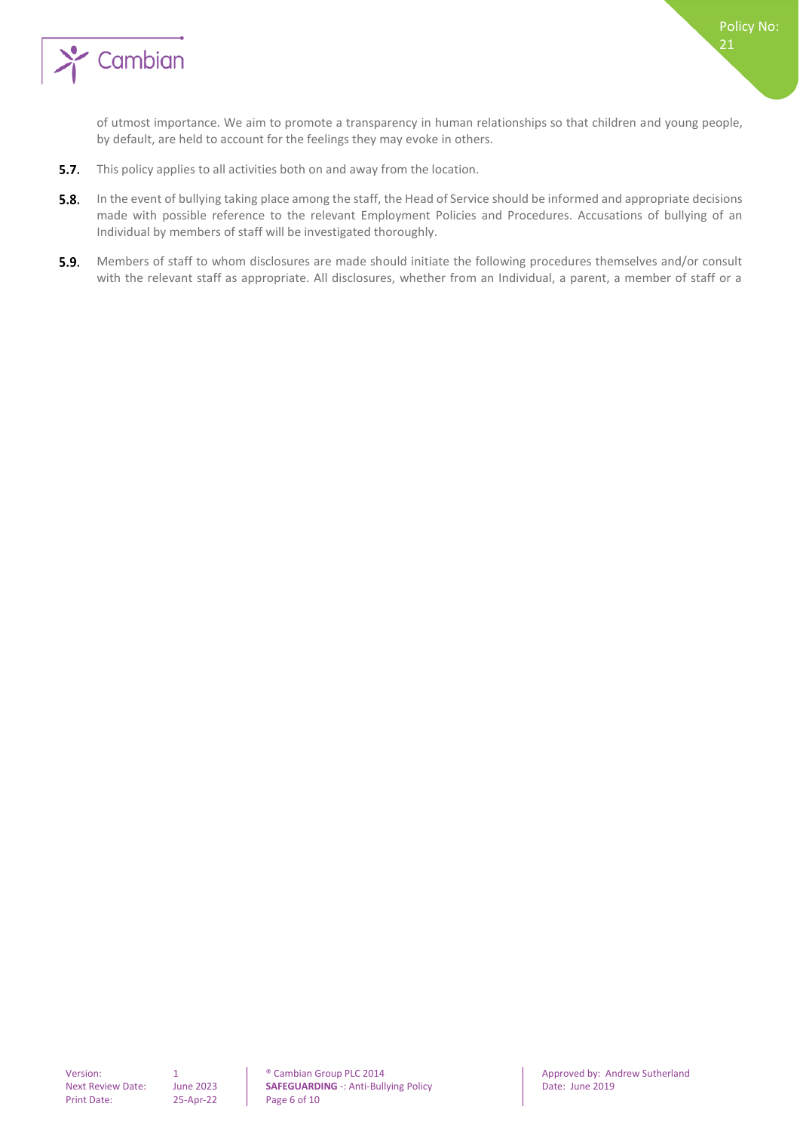

of utmost importance. We aim to promote a transparency in human relationships so that children and young people, by default, are held to account for the feelings they may evoke in others.

- $5.7.$ This policy applies to all activities both on and away from the location.
- $5.8.$ In the event of bullying taking place among the staff, the Head of Service should be informed and appropriate decisions made with possible reference to the relevant Employment Policies and Procedures. Accusations of bullying of an Individual by members of staff will be investigated thoroughly.
- 5.9. Members of staff to whom disclosures are made should initiate the following procedures themselves and/or consult with the relevant staff as appropriate. All disclosures, whether from an Individual, a parent, a member of staff or a

Version: 1 0 0 1 <sup>®</sup> Cambian Group PLC 2014 Approved by: Andrew Sutherland<br>Next Review Date: June 2023 **SAFEGUARDING** -: Anti-Bullying Policy Date: June 2019 **SAFEGUARDING** -: Anti-Bullying Policy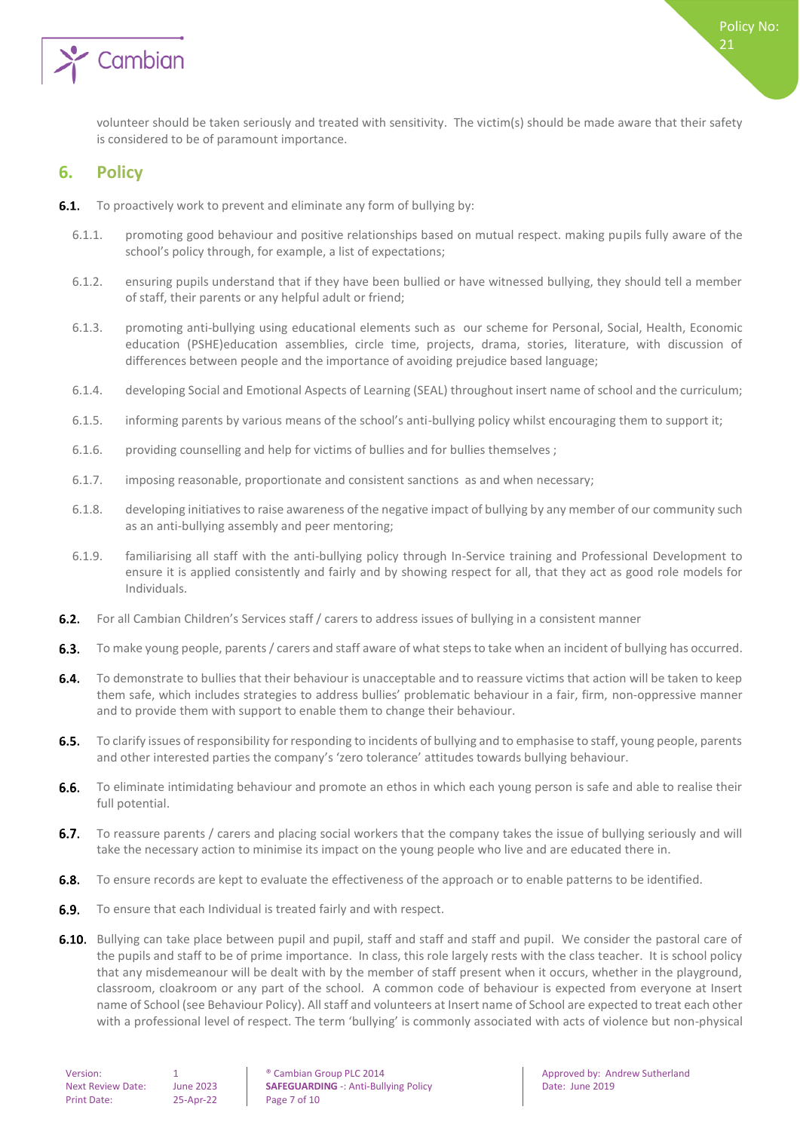

<span id="page-6-0"></span>volunteer should be taken seriously and treated with sensitivity. The victim(s) should be made aware that their safety is considered to be of paramount importance.

#### **6. Policy**

- **6.1.** To proactively work to prevent and eliminate any form of bullying by:
	- 6.1.1. promoting good behaviour and positive relationships based on mutual respect. making pupils fully aware of the school's policy through, for example, a list of expectations;
	- 6.1.2. ensuring pupils understand that if they have been bullied or have witnessed bullying, they should tell a member of staff, their parents or any helpful adult or friend;
	- 6.1.3. promoting anti-bullying using educational elements such as our scheme for Personal, Social, Health, Economic education (PSHE)education assemblies, circle time, projects, drama, stories, literature, with discussion of differences between people and the importance of avoiding prejudice based language;
	- 6.1.4. developing Social and Emotional Aspects of Learning (SEAL) throughout insert name of school and the curriculum;
	- 6.1.5. informing parents by various means of the school's anti-bullying policy whilst encouraging them to support it;
	- 6.1.6. providing counselling and help for victims of bullies and for bullies themselves ;
	- 6.1.7. imposing reasonable, proportionate and consistent sanctions as and when necessary;
	- 6.1.8. developing initiatives to raise awareness of the negative impact of bullying by any member of our community such as an anti-bullying assembly and peer mentoring;
	- 6.1.9. familiarising all staff with the anti-bullying policy through In-Service training and Professional Development to ensure it is applied consistently and fairly and by showing respect for all, that they act as good role models for Individuals.
- $6.2.$ For all Cambian Children's Services staff / carers to address issues of bullying in a consistent manner
- To make young people, parents / carers and staff aware of what steps to take when an incident of bullying has occurred.  $6.3.$
- $6.4.$ To demonstrate to bullies that their behaviour is unacceptable and to reassure victims that action will be taken to keep them safe, which includes strategies to address bullies' problematic behaviour in a fair, firm, non-oppressive manner and to provide them with support to enable them to change their behaviour.
- $6.5.$ To clarify issues of responsibility for responding to incidents of bullying and to emphasise to staff, young people, parents and other interested parties the company's 'zero tolerance' attitudes towards bullying behaviour.
- $6.6.$ To eliminate intimidating behaviour and promote an ethos in which each young person is safe and able to realise their full potential.
- $6.7.$ To reassure parents / carers and placing social workers that the company takes the issue of bullying seriously and will take the necessary action to minimise its impact on the young people who live and are educated there in.
- 6.8. To ensure records are kept to evaluate the effectiveness of the approach or to enable patterns to be identified.
- **6.9.** To ensure that each Individual is treated fairly and with respect.
- 6.10. Bullying can take place between pupil and pupil, staff and staff and staff and pupil. We consider the pastoral care of the pupils and staff to be of prime importance. In class, this role largely rests with the class teacher. It is school policy that any misdemeanour will be dealt with by the member of staff present when it occurs, whether in the playground, classroom, cloakroom or any part of the school. A common code of behaviour is expected from everyone at Insert name of School (see Behaviour Policy). All staff and volunteers at Insert name of School are expected to treat each other with a professional level of respect. The term 'bullying' is commonly associated with acts of violence but non-physical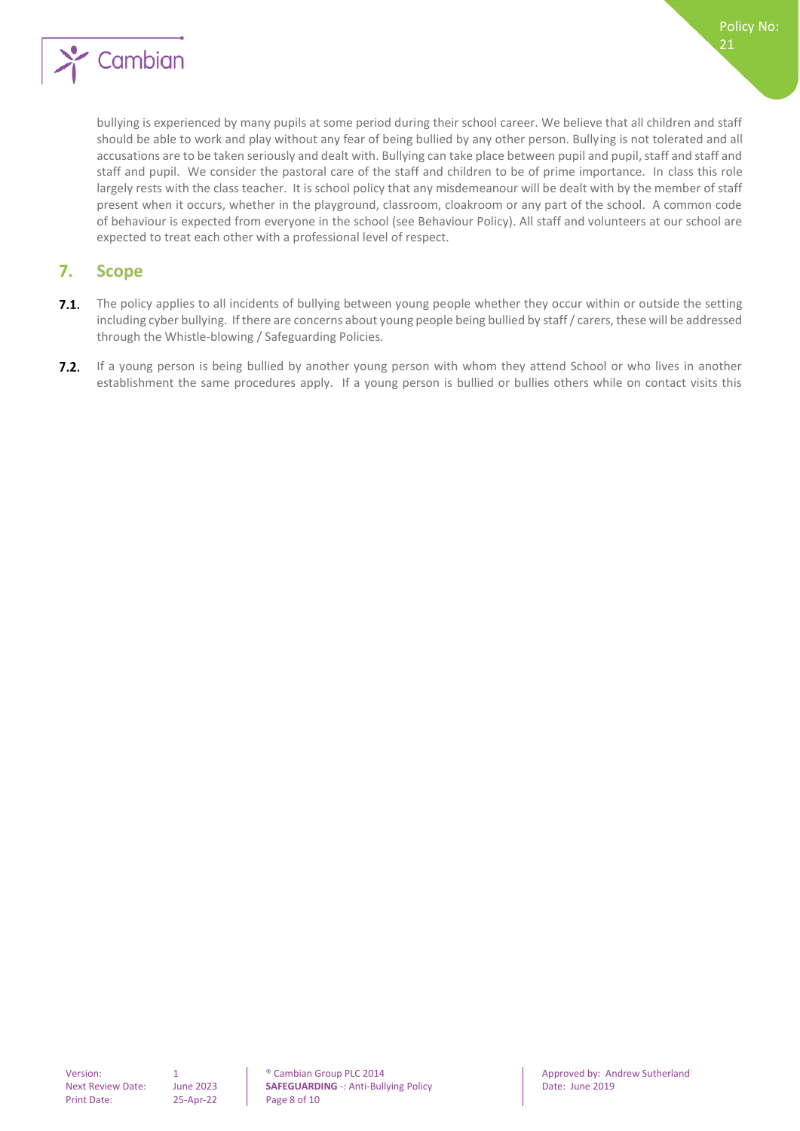

bullying is experienced by many pupils at some period during their school career. We believe that all children and staff should be able to work and play without any fear of being bullied by any other person. Bullying is not tolerated and all accusations are to be taken seriously and dealt with. Bullying can take place between pupil and pupil, staff and staff and staff and pupil. We consider the pastoral care of the staff and children to be of prime importance. In class this role largely rests with the class teacher. It is school policy that any misdemeanour will be dealt with by the member of staff present when it occurs, whether in the playground, classroom, cloakroom or any part of the school. A common code of behaviour is expected from everyone in the school (see Behaviour Policy). All staff and volunteers at our school are expected to treat each other with a professional level of respect.

#### <span id="page-7-0"></span>**7. Scope**

- $7.1.$ The policy applies to all incidents of bullying between young people whether they occur within or outside the setting including cyber bullying. If there are concerns about young people being bullied by staff / carers, these will be addressed through the Whistle-blowing / Safeguarding Policies.
- 7.2. If a young person is being bullied by another young person with whom they attend School or who lives in another establishment the same procedures apply. If a young person is bullied or bullies others while on contact visits this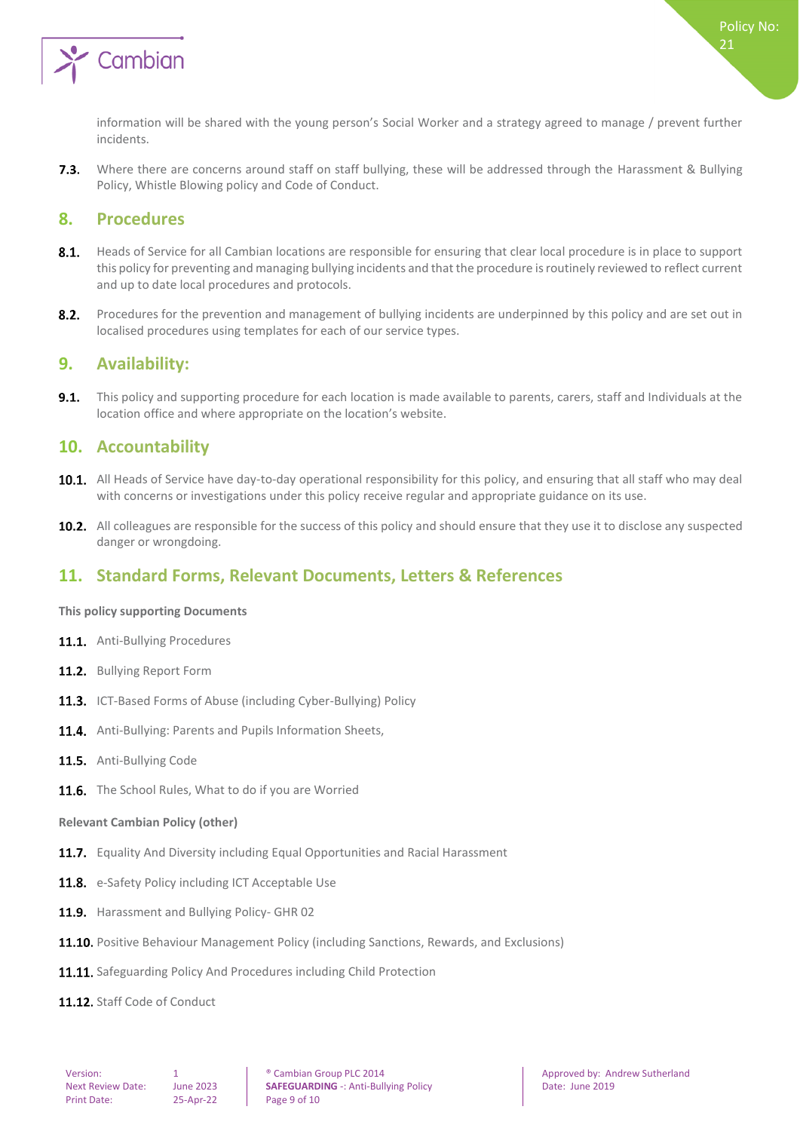

Where there are concerns around staff on staff bullying, these will be addressed through the Harassment & Bullying  $7.3.$ Policy, Whistle Blowing policy and Code of Conduct.

#### <span id="page-8-0"></span>**8. Procedures**

- $8.1.$ Heads of Service for all Cambian locations are responsible for ensuring that clear local procedure is in place to support this policy for preventing and managing bullying incidents and that the procedure is routinely reviewed to reflect current and up to date local procedures and protocols.
- $8.2.$ Procedures for the prevention and management of bullying incidents are underpinned by this policy and are set out in localised procedures using templates for each of our service types.

#### <span id="page-8-1"></span>**9. Availability:**

 $9.1.$ This policy and supporting procedure for each location is made available to parents, carers, staff and Individuals at the location office and where appropriate on the location's website.

#### <span id="page-8-2"></span>**10. Accountability**

- 10.1. All Heads of Service have day-to-day operational responsibility for this policy, and ensuring that all staff who may deal with concerns or investigations under this policy receive regular and appropriate guidance on its use.
- 10.2. All colleagues are responsible for the success of this policy and should ensure that they use it to disclose any suspected danger or wrongdoing.

## <span id="page-8-3"></span>**11. Standard Forms, Relevant Documents, Letters & References**

#### <span id="page-8-4"></span>**This policy supporting Documents**

- 11.1. Anti-Bullying Procedures
- 11.2. Bullving Report Form
- 11.3. ICT-Based Forms of Abuse (including Cyber-Bullying) Policy
- 11.4. Anti-Bullying: Parents and Pupils Information Sheets,
- 11.5. Anti-Bullving Code
- <span id="page-8-5"></span>11.6. The School Rules, What to do if you are Worried

#### **Relevant Cambian Policy (other)**

- 11.7. Equality And Diversity including Equal Opportunities and Racial Harassment
- 11.8. e-Safety Policy including ICT Acceptable Use
- 11.9. Harassment and Bullying Policy- GHR 02
- 11.10. Positive Behaviour Management Policy (including Sanctions, Rewards, and Exclusions)
- 11.11. Safeguarding Policy And Procedures including Child Protection
- 11.12. Staff Code of Conduct